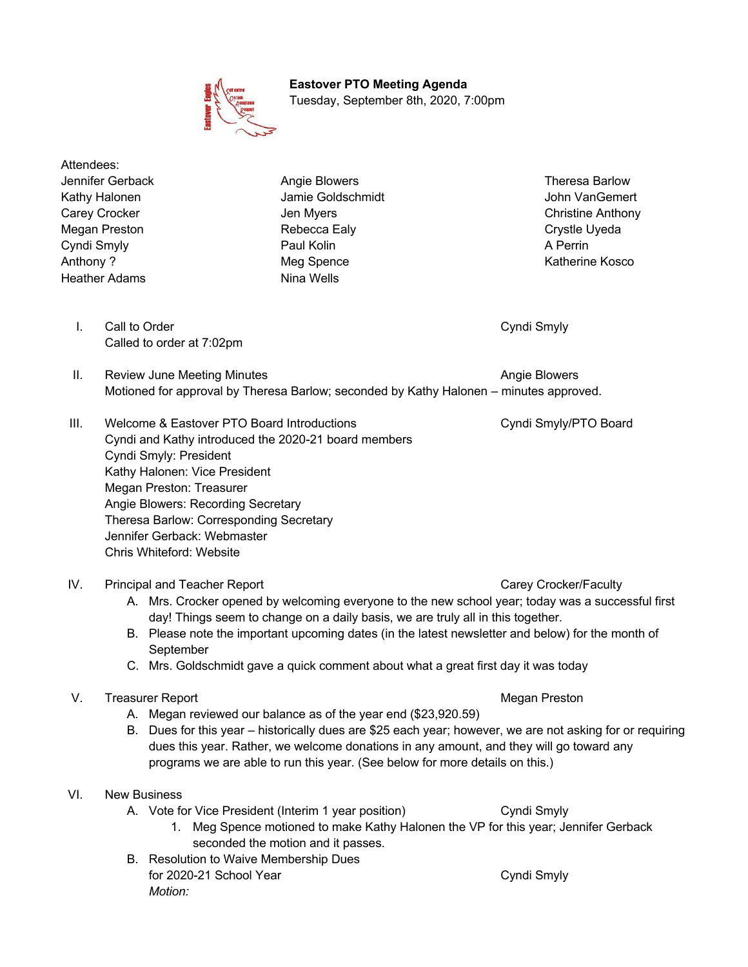

 **Eastover PTO Meeting Agenda** Tuesday, September 8th, 2020, 7:00pm

Attendees: Jennifer Gerback Angie Blowers Theresa Barlow Heather Adams Nina Wells

Kathy Halonen **Jamie Goldschmidt** Jamie Goldschmidt John VanGemert Carey Crocker **Carey Crocker Christian Christian Christian Christian Christian Christian Christian Christian Christian Christian Christian Christian Christian Christian Christian Christian Christian Christian Christian C** Megan Preston **Crystle Uyeda** Rebecca Ealy **Report Crystle Uyeda** Cyndi Smyly Paul Kolin A Perrin Anthony ? **Meg Spence** Meg Spence **Meg Spence** Katherine Kosco

**I.** Call to Order Cyndismyly Cyndismyly Cyndismyly Cyndismyly Cyndismyly Cyndismyly Called to order at 7:02pm

II. Review June Meeting Minutes Angie Blowers Angie Blowers Motioned for approval by Theresa Barlow; seconded by Kathy Halonen – minutes approved.

III. Welcome & Eastover PTO Board Introductions Cyndi Smyly/PTO Board Cyndi and Kathy introduced the 2020-21 board members Cyndi Smyly: President Kathy Halonen: Vice President Megan Preston: Treasurer Angie Blowers: Recording Secretary Theresa Barlow: Corresponding Secretary Jennifer Gerback: Webmaster Chris Whiteford: Website

### IV. Principal and Teacher Report Carey Crocker/Faculty

- A. Mrs. Crocker opened by welcoming everyone to the new school year; today was a successful first day! Things seem to change on a daily basis, we are truly all in this together.
- B. Please note the important upcoming dates (in the latest newsletter and below) for the month of **September**
- C. Mrs. Goldschmidt gave a quick comment about what a great first day it was today

# V. Treasurer Report **Megan Preston** Megan Preston

- A. Megan reviewed our balance as of the year end (\$23,920.59)
- B. Dues for this year historically dues are \$25 each year; however, we are not asking for or requiring dues this year. Rather, we welcome donations in any amount, and they will go toward any programs we are able to run this year. (See below for more details on this.)

# VI. New Business

# A. Vote for Vice President (Interim 1 year position) Cyndi Smyly

- 1. Meg Spence motioned to make Kathy Halonen the VP for this year; Jennifer Gerback seconded the motion and it passes.
- B. Resolution to Waive Membership Dues for 2020-21 School Year Cyndi Smyly *Motion:*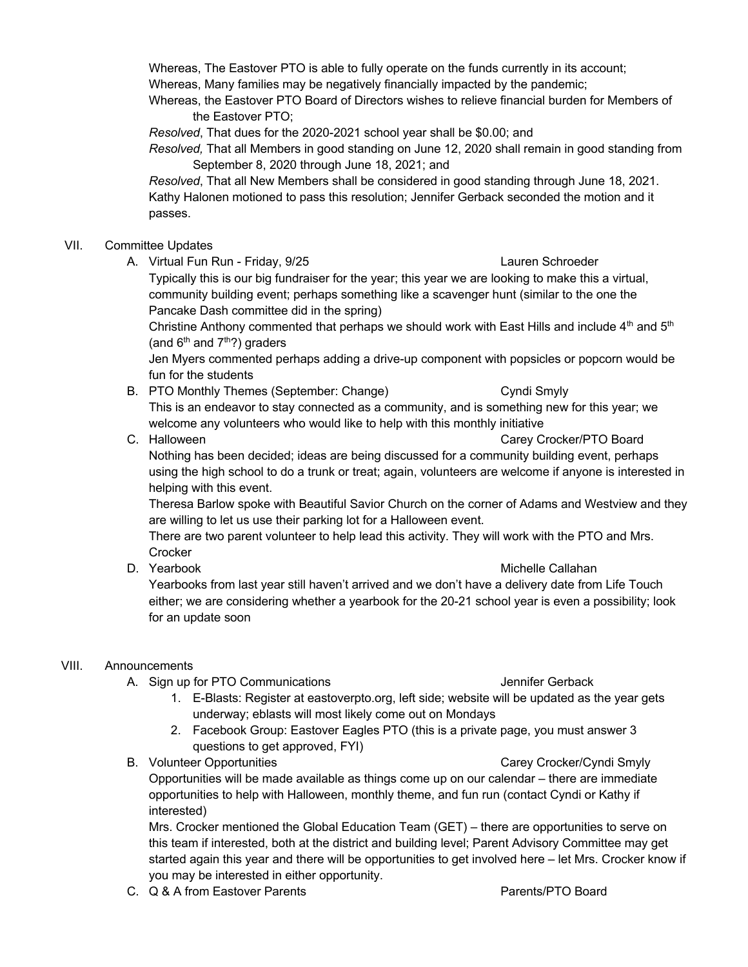Whereas, The Eastover PTO is able to fully operate on the funds currently in its account; Whereas, Many families may be negatively financially impacted by the pandemic;

Whereas, the Eastover PTO Board of Directors wishes to relieve financial burden for Members of the Eastover PTO;

*Resolved*, That dues for the 2020-2021 school year shall be \$0.00; and

*Resolved,* That all Members in good standing on June 12, 2020 shall remain in good standing from September 8, 2020 through June 18, 2021; and

*Resolved*, That all New Members shall be considered in good standing through June 18, 2021. Kathy Halonen motioned to pass this resolution; Jennifer Gerback seconded the motion and it passes.

# VII. Committee Updates

A. Virtual Fun Run - Friday, 9/25 Lauren Schroeder

Typically this is our big fundraiser for the year; this year we are looking to make this a virtual, community building event; perhaps something like a scavenger hunt (similar to the one the Pancake Dash committee did in the spring)

Christine Anthony commented that perhaps we should work with East Hills and include  $4<sup>th</sup>$  and  $5<sup>th</sup>$ (and  $6<sup>th</sup>$  and  $7<sup>th</sup>$ ?) graders

Jen Myers commented perhaps adding a drive-up component with popsicles or popcorn would be fun for the students

- B. PTO Monthly Themes (September: Change) Cyndi Smyly This is an endeavor to stay connected as a community, and is something new for this year; we welcome any volunteers who would like to help with this monthly initiative
- C. Halloween Carey Crocker/PTO Board

Nothing has been decided; ideas are being discussed for a community building event, perhaps using the high school to do a trunk or treat; again, volunteers are welcome if anyone is interested in helping with this event.

Theresa Barlow spoke with Beautiful Savior Church on the corner of Adams and Westview and they are willing to let us use their parking lot for a Halloween event.

There are two parent volunteer to help lead this activity. They will work with the PTO and Mrs. **Crocker** 

### D. Yearbook and the control of the control of the Michelle Callahan

Yearbooks from last year still haven't arrived and we don't have a delivery date from Life Touch either; we are considering whether a yearbook for the 20-21 school year is even a possibility; look for an update soon

# VIII. Announcements

A. Sign up for PTO Communications **A.** Sign up for PTO Communications **Jennifer Gerback** 

- 1. E-Blasts: Register at eastoverpto.org, left side; website will be updated as the year gets underway; eblasts will most likely come out on Mondays
- 2. Facebook Group: Eastover Eagles PTO (this is a private page, you must answer 3 questions to get approved, FYI)
- B. Volunteer Opportunities Carey Crocker/Cyndi Smyly Opportunities will be made available as things come up on our calendar – there are immediate opportunities to help with Halloween, monthly theme, and fun run (contact Cyndi or Kathy if interested)

Mrs. Crocker mentioned the Global Education Team (GET) – there are opportunities to serve on this team if interested, both at the district and building level; Parent Advisory Committee may get started again this year and there will be opportunities to get involved here – let Mrs. Crocker know if you may be interested in either opportunity.

C. Q & A from Eastover Parents **Parents Accord Parents/PTO Board**